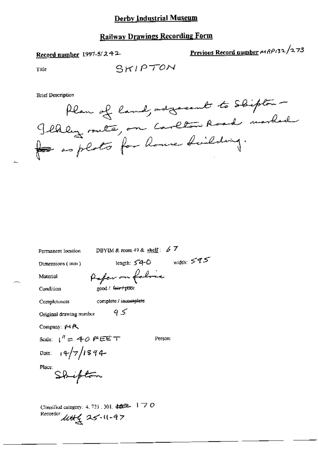# **Railway Drawings Recording Form**

Record number  $1997-5/242$ 

Previous Record number MRP132/273

Title

**Brief Description** 

Plan of land, adjacent to Shipton -Jekley suite, on Carlton Road marked for as plats for house duilding.

Permanent location

DBYIM & room 49 & shelf:  $67$ 

Dimensions (mm)

length:  $54-0$  width:  $545$ Paper on folice

Material

Condition

Completeness

good / feir poor

Original drawing number

95

complete / incomplete

Company:  $\cancel{p}$   $\land$   $\land$ 

Scale:  $1'' = 40$  FEET

Person:

Date:  $14/7/1894$ <br>Place: Shipton

Classified category: 4, 721, 301,  $\pm \pm \pm 1$  7 O Recorder  $442$  25-11-97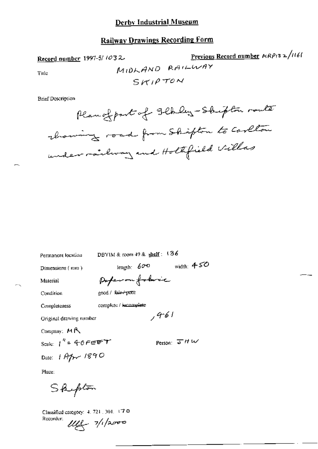# **Railway Drawings Recording Form**

Record number 1997-5/1032.

Title

$$
1410KAND
$$
 Previous Record number  $MRP132/1161$   
\n
$$
M10KAND
$$
  $RA1LWAY$   
\n
$$
SKHPTON
$$

**Brief Description** 

Permanent location

DBYIM & room 49 & shelf: 136

Dimensions (mm)

length:  $600$  width:  $450$ 

Material

Perferantobric

Condition

good / fuir-'TXKII

complete / incomplete

Completeness

Original drawing number

Company:  $M \bigwedge$ 

Scale:  $1^k = 40$  FEET Date:  $1$  Apr 1890

Person:  $\overline{J}$  H W

 $1461$ 

Place:

Shipton

Classified category: 4, 721, 301, 17 0 Recorder:

 $|11|$   $7/12000$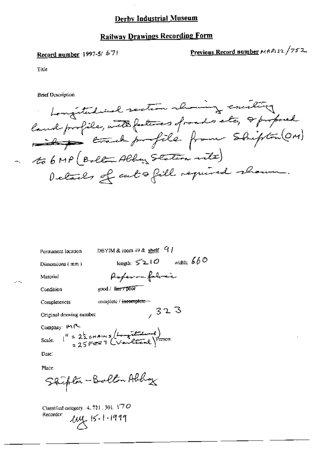# **Railway Drawings Recording Form**

# Record number 1997-5/671

Previous Record number MRP132/752

Title

 $\rightarrow$ 

**Brief Description** 

Longitudied section showing exciting land profile, with fatures of roads etc, I proposed ever to profile from shipton (OM) ~ to 6 MP (Bolton Albert Station rite) Details of cutofill required shown.

| Permanent location                                                                | DBYIM & room $49$ & shelf: $9$                 |  |
|-----------------------------------------------------------------------------------|------------------------------------------------|--|
| Dimensions (mm)                                                                   | width: $660$<br>$_{\rm length:}$ $\leq$ 2 $10$ |  |
| Material                                                                          | Paperon falmic                                 |  |
| Condition                                                                         | good / fair / poor                             |  |
| Completeness                                                                      | complete / incomplete ~                        |  |
| Original drawing number                                                           | 7323                                           |  |
| Company: 14P                                                                      |                                                |  |
| Scale: $I^H = 2\frac{1}{2}$ cHAINS (Longitude 2)<br>= 25 FEET (Verleiche) Person: |                                                |  |
| Date:                                                                             |                                                |  |
| Place:                                                                            |                                                |  |

Staipton-Bolton Abbay

Classified category. 4, 721, 301, 170 Recorder:  $104.111999$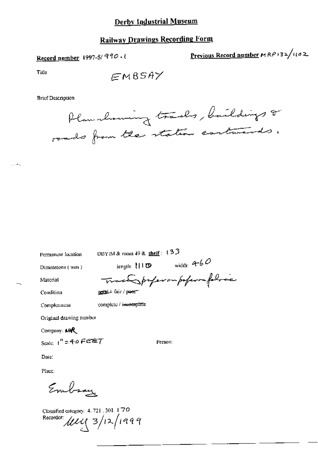# **Railway Drawings Recording Form**

Record number 1997-5/990.

Previous Record number  $MRP$ 132/1102

Title

 $\mathbb{R}^2 \rightarrow \mathbb{R}^2$ 

 $EMBSAY$ 

**Brief Description** 



Permanent location

DBYIM & room 49 & shelf: 133

Dimensions (unn)

length:  $\uparrow \qquad \qquad \text{width: } 4 - 6$ 

Person:

Material

Trace professor poperor follow

complete / incomplete

Condition

pool/ tair/peor

Completeness

Original drawing number

Company: MAR

Scale:  $1'' = 40$  FEET

Date:

Place:

Embsay

Classified category: 4, 721, 301, 170 Recorder:  $\mu$ 149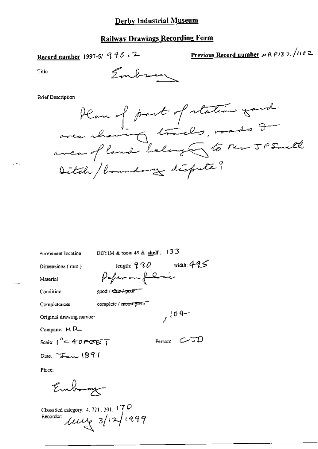# **Railway Drawings Recording Form**

Record number 1997-5/ 990.2

Previous Record number  $mRP/3$  2/1102

Title

#### **Brief Description**



Permanent location

DBYIM & room 49 & shelf:  $133$ 

Paper an folial

length:  $990$  width:  $495$ 

 $104 -$ 

Person:  $C$  JD

Dimensions (mm)

Material

Condition

Completeness

good / Cair / poor complete / incomplete

Original drawing number

Company:  $M$   $R$ <sub>-</sub>

Scale:  $1^h = 40$  FEET

Date:  $T_{\text{max}}$ 1891

Place:

Embray

Classified category: 4, 721, 301,  $\frac{17}{7}$ O Recorder:  $\mu$  $\mu$   $\approx$  12/1299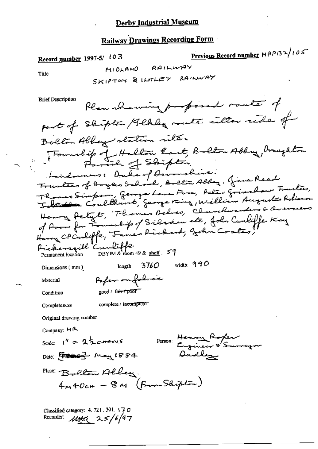# **Railway Drawings Recording Form**

Previous Record number  $MAP(32/105)$ Record number 1997-5/ 103 MIOLAND RAILWAY Title SKIPTON & ILITLEY RAILWAY **Brief Description** Plan showing proposed router of part of Skipton / flhly meete celler ride of Bolton Albery station rite. Fournalite of Hallow East, Balton Abby, Draughton Thomas Simpson, George Lana Force, Aster Grimalaw Frusteis, Henry Petyt, Thomas Delves, Churchwarding & Que of Poor for Friendshop of Silvadan etc, John Canliffe Kay Pickersoill Curliffe length:  $3760$  width:  $990$ Dimensions  $(mn)$ Paper on folioe Material  $\text{good}$  /  $\text{far}$   $\text{pO}$ Condition complete / incomplete Completeness Original drawing number Company: MA Person: Henry Roper Scale:  $1^{n} = 2\frac{1}{2}$ ctains Dadley Date: [ 1000] May 1884 Place: Bellon Allen.  $4m40c# - 8m$  (From Shipton)

Classified category:  $4.721.301.17$ , O Recorder:  $\mu$ tta 25/6/97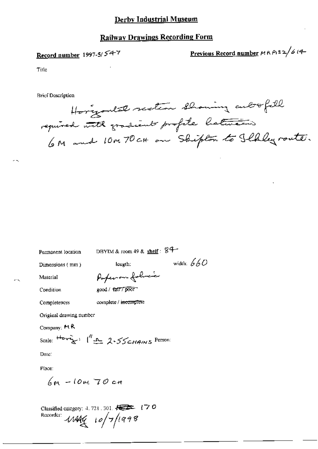#### **Railway Drawings Recording Form**

# Record number 1997-5/54-7

Previous Record number MRP132/614-

Title

**Brief Description** 

Horizontal section showing autofill required with gradients profite hatteries 6M and 10M70 cH on Shipton to Ilkleyroute.

width:  $660$ 

Permanent location

DBYIM & room 49 & shelf:  $84-$ 

Dimensions (mm)

length:

Material

Paperon folio

Condition

Completeness

good / fatF/poor

complete / incomplete

Original drawing number

Company: MR

Scale:  $\frac{H_{\text{avg}}}{1 - \frac{1}{2}}$   $\int_{-\infty}^{\infty} 2.55$   $\epsilon_{HAMS}$  Person:

Date:

Place:

 $6m - 10m$  70 cm

Classified category: 4, 721, 301, 2022 (70 Recorder: 11444 10/7/1998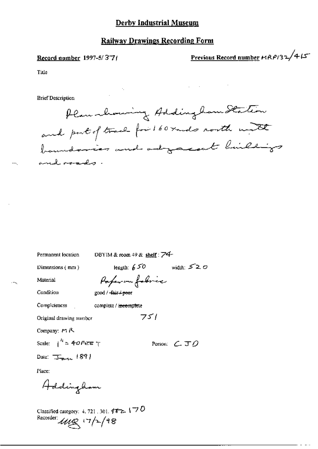### **Railway Drawings Recording Form**

#### Record number 1997-5/37/

Previous Record number HRP132/415

Title

**Brief Description** 

Plan chowing Addingham Station and put of trace for 160 rands north mit boundaries and adjacent hillings and roads.

Permanent location

DBYIM & room 49 & shelf:  $\overline{74}$ 

 $751$ 

Dimensions (mm)

length:  $650$  width:  $520$ 

Material

Paper on fabric good /  $-fair + poef$ 

Condition

Completeness [1] complete / incomplete

Original drawing mumber

Company: MR

Scale:  $1^{h}$  = 40 FeTE  $T$ 

Date:  $\overline{\mathcal{F}}_{\text{max}}$  1891

Person:  $C$   $J$   $O$ 

Place:

Addingham

Classified category: 4, 721, 301,  $452.170$ Recorder:  $\mu_{\ell}$  17/2/98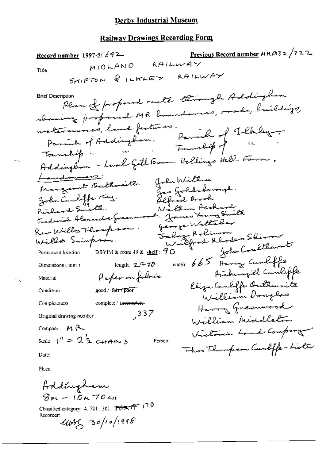### **Railway Drawings Recording Form**

<u>Previous Record number</u>  $ARP-3$ 2 /722 Record number 1997-5/642 MIDLAND RAILWAY Title SKIPTON & ILKLEY AAILWAY Plan of profound route through Addingtion **Brief Description** showing proposed MR houndaries, roads, buildings, Parish of Addington. Parish of Theblug. watercourses, land festuves. Addingtion - Lund Gill Fam Hollings Hall Farm. Landowners: John William.<br>Jos Goldsborough.<br>Alfred Brook. Margaret Oultweiter John Cambiffe Kay.<br>Richard Smith. Nathan Richard Frederick Alsonandre Greenenouse. James Houng Smith george Willaber Rev Willow Thompson. Joly Robinson rillfred Rhodes Sherrow Wille Simpron. John Coulthant DBYIM & room 49 & shelf:  $90$ Permanent location width: 665 Harry Cumliffe length:  $2.470$ Dimensions (mm) Pickerspill Canliffe Paper on folmée Material Eliza Cambiffe Outhwaits Condition good / fair / poor William Douglas Completeness complete / incomplete-Harry Greenwood  $337$ William Middleton Original drawing number Company  $M \sim$ Victoria Land Company Scale:  $1^{\prime\prime} = 2^{\frac{1}{2}}$  c+Ain 5 Person: This Thompson Curliffe-Lister Date:

Place.

Addingham  $8m - 10m$  70cm

Classified category: 4, 721, 301,  $\sqrt[4]{6}$   $\pi$   $\sqrt[4]{10}$ Recorder:

 $4445, 30/10/1998$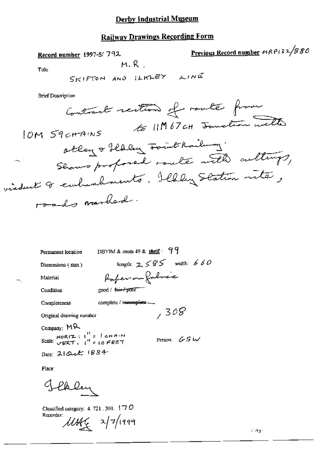#### avings Decording Form  $\mathbf{r}$ ÷

| <u>Kailway Drawings Kecutumg Polini</u>                             |                                   |  |
|---------------------------------------------------------------------|-----------------------------------|--|
| Record number 1997-5/792                                            | Previous Record number MRP132/880 |  |
| M.R.<br>Title                                                       |                                   |  |
| SKIPTON AND ILKLEY LINE                                             |                                   |  |
| <b>Brief Description</b>                                            |                                   |  |
| Contract rection of route from                                      |                                   |  |
| IOM S9 CHAINS                                                       | to IM 67 cH Junction with         |  |
| othey of flaley southailung.<br>Shows profored route with culturys, |                                   |  |
|                                                                     |                                   |  |
| viadent & embanhments. Ilhley Station inter,                        |                                   |  |
|                                                                     |                                   |  |
| roads worked.                                                       |                                   |  |
|                                                                     |                                   |  |
|                                                                     |                                   |  |
|                                                                     |                                   |  |
| DBYIM & room $49$ & shelf: $99$<br>Permanent location               |                                   |  |
| length: $2585$ width: $660$<br>Dimensions (mm)                      |                                   |  |
| Paperon foloce<br>Material                                          |                                   |  |
| good / but poor<br>Condition                                        |                                   |  |
| complete / incomplete<br>Completeness                               |                                   |  |
| , 308<br>Original drawing number                                    |                                   |  |
| Company: MR                                                         |                                   |  |
| Scale: $VERT = \binom{H}{s}$ of EET<br>Person: $GS$ W               |                                   |  |
| Date: 21 Oct 1884                                                   |                                   |  |
| Place:                                                              |                                   |  |
|                                                                     |                                   |  |

Jekley

Classified category: 4, 721, 301,  $\pm$  70 Recorder: ung 2/7/1999

 $\mathcal{O}(\frac{1}{2} \Delta)$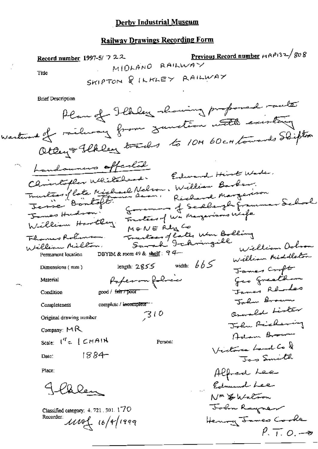#### **Railway Drawings Recording Form**

Previous Record number  $r_1 \wedge r_1$ 32/808 Record number 1997-5/ 7 22 MIDLAND RAILWAY Title SKIPTON & ILKLEY RAILWAY **Brief Description** Plan of Ilbley showing profond raute Westwood of railway from Junction with existency Otay + Flkley tracks to 104 60 cm towards Slighter handowners offerlad Chinlopher Whilehead. Edward Hint Wade. muntées flate Michael Nelson, William Barber.<br>Jenne Bontoft. Rechard Margarison Enemine of Sedlangh Frammar School James Hudson? James Hudson: 5 Frantes of Wa Margarisons Weife Trantacy of Eater Wm Bolling Flores Rolinson. William Million. William Ochron DBYIM & room 49 & shelf:  $94$ William Middleton Permanent location length:  $2855$  width:  $665$ Dimensions (mm) James Cropt geo greatham Paperon foloce Material James Rendes Condition good / fair / poor Jalm Brown complete / incomplete \*\*\* Completeness Orwald Lister  $310$ Original drawing number John Richaring Company:  $MR$ Adam Brown Scale:  $\mathfrak{t}^H = \{\mathcal{L}HAM\}$ Person: Victoria Land Co & 1884-Jos Smith Date: Alfred Lee Place: Edmund Lee Blen NM & Walton

John Rayner

Henry James Cooke

 $\ell$ , T,  $\varphi$ ,  $\rightarrow$ 

Classified category: 4, 721, 301, 170 Recorder:  $\mu$ 104 16/4/1999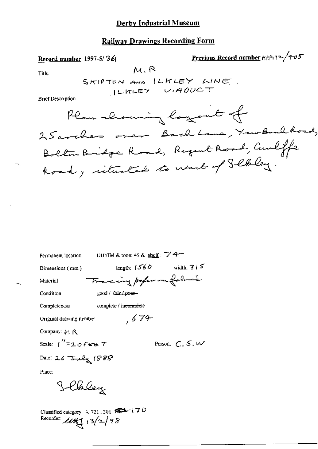# **Railway Drawings Recording Form**

Previous Record number HRP132/405 Record number 1997-5/36  $M, R$ Title SKIPTON AND ILKLEY LINE. ILKLEY UIAOUCT **Brief Description** Plan -lowing logout of 25 aveliers over Backbane, YewBankboad, Bolton Bridge Road, Regent Road, Curliffe

| Permanent location BBYIM & room 49 & shelf : $\overline{Z}$ +                                       |                                |  |  |
|-----------------------------------------------------------------------------------------------------|--------------------------------|--|--|
| Dimensions ( mm )                                                                                   | length: $1560$<br>width: $315$ |  |  |
| Material                                                                                            | Tracing poper on following     |  |  |
| $g(x)$ $\mu$ $\mu$ $\mu$<br>Condition                                                               |                                |  |  |
| complete / in <del>complet</del> e<br>Completeness                                                  |                                |  |  |
| Original drawing nember                                                                             | ,674                           |  |  |
| Company: 14 R                                                                                       |                                |  |  |
| Scale: 1 <sup>11</sup> =20Fe75 T                                                                    | Person: $C, S, W$              |  |  |
| Date: 26 Trily 1888                                                                                 |                                |  |  |
| Place:                                                                                              |                                |  |  |
| Jehley                                                                                              |                                |  |  |
| Classified category: 4, 721, 301, FEED 170<br>Recorder: $\mathcal{L}\mathcal{U}\mathcal{H}$ (3/2/98 |                                |  |  |